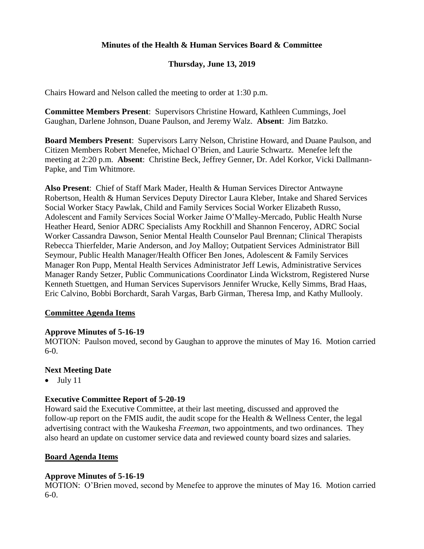# **Minutes of the Health & Human Services Board & Committee**

## **Thursday, June 13, 2019**

Chairs Howard and Nelson called the meeting to order at 1:30 p.m.

**Committee Members Present**: Supervisors Christine Howard, Kathleen Cummings, Joel Gaughan, Darlene Johnson, Duane Paulson, and Jeremy Walz. **Absent**: Jim Batzko.

**Board Members Present**: Supervisors Larry Nelson, Christine Howard, and Duane Paulson, and Citizen Members Robert Menefee, Michael O'Brien, and Laurie Schwartz. Menefee left the meeting at 2:20 p.m. **Absent**: Christine Beck, Jeffrey Genner, Dr. Adel Korkor, Vicki Dallmann-Papke, and Tim Whitmore.

**Also Present**: Chief of Staff Mark Mader, Health & Human Services Director Antwayne Robertson, Health & Human Services Deputy Director Laura Kleber, Intake and Shared Services Social Worker Stacy Pawlak, Child and Family Services Social Worker Elizabeth Russo, Adolescent and Family Services Social Worker Jaime O'Malley-Mercado, Public Health Nurse Heather Heard, Senior ADRC Specialists Amy Rockhill and Shannon Fenceroy, ADRC Social Worker Cassandra Dawson, Senior Mental Health Counselor Paul Brennan; Clinical Therapists Rebecca Thierfelder, Marie Anderson, and Joy Malloy; Outpatient Services Administrator Bill Seymour, Public Health Manager/Health Officer Ben Jones, Adolescent & Family Services Manager Ron Pupp, Mental Health Services Administrator Jeff Lewis, Administrative Services Manager Randy Setzer, Public Communications Coordinator Linda Wickstrom, Registered Nurse Kenneth Stuettgen, and Human Services Supervisors Jennifer Wrucke, Kelly Simms, Brad Haas, Eric Calvino, Bobbi Borchardt, Sarah Vargas, Barb Girman, Theresa Imp, and Kathy Mullooly.

#### **Committee Agenda Items**

#### **Approve Minutes of 5-16-19**

MOTION: Paulson moved, second by Gaughan to approve the minutes of May 16. Motion carried 6-0.

#### **Next Meeting Date**

 $\bullet$  July 11

#### **Executive Committee Report of 5-20-19**

Howard said the Executive Committee, at their last meeting, discussed and approved the follow-up report on the FMIS audit, the audit scope for the Health & Wellness Center, the legal advertising contract with the Waukesha *Freeman*, two appointments, and two ordinances. They also heard an update on customer service data and reviewed county board sizes and salaries.

#### **Board Agenda Items**

#### **Approve Minutes of 5-16-19**

MOTION: O'Brien moved, second by Menefee to approve the minutes of May 16. Motion carried 6-0.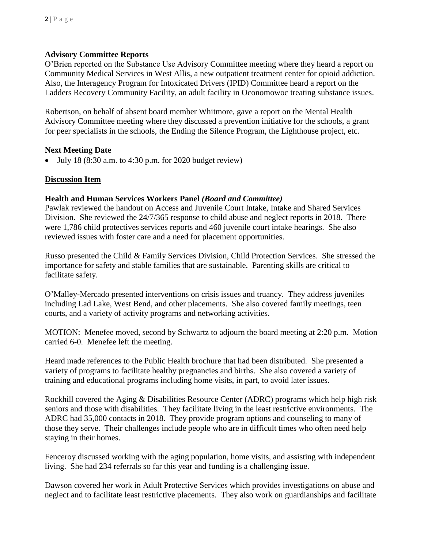## **Advisory Committee Reports**

O'Brien reported on the Substance Use Advisory Committee meeting where they heard a report on Community Medical Services in West Allis, a new outpatient treatment center for opioid addiction. Also, the Interagency Program for Intoxicated Drivers (IPID) Committee heard a report on the Ladders Recovery Community Facility, an adult facility in Oconomowoc treating substance issues.

Robertson, on behalf of absent board member Whitmore, gave a report on the Mental Health Advisory Committee meeting where they discussed a prevention initiative for the schools, a grant for peer specialists in the schools, the Ending the Silence Program, the Lighthouse project, etc.

### **Next Meeting Date**

July 18 (8:30 a.m. to 4:30 p.m. for 2020 budget review)

### **Discussion Item**

#### **Health and Human Services Workers Panel** *(Board and Committee)*

Pawlak reviewed the handout on Access and Juvenile Court Intake, Intake and Shared Services Division. She reviewed the 24/7/365 response to child abuse and neglect reports in 2018. There were 1,786 child protectives services reports and 460 juvenile court intake hearings. She also reviewed issues with foster care and a need for placement opportunities.

Russo presented the Child & Family Services Division, Child Protection Services. She stressed the importance for safety and stable families that are sustainable. Parenting skills are critical to facilitate safety.

O'Malley-Mercado presented interventions on crisis issues and truancy. They address juveniles including Lad Lake, West Bend, and other placements. She also covered family meetings, teen courts, and a variety of activity programs and networking activities.

MOTION: Menefee moved, second by Schwartz to adjourn the board meeting at 2:20 p.m. Motion carried 6-0. Menefee left the meeting.

Heard made references to the Public Health brochure that had been distributed. She presented a variety of programs to facilitate healthy pregnancies and births. She also covered a variety of training and educational programs including home visits, in part, to avoid later issues.

Rockhill covered the Aging & Disabilities Resource Center (ADRC) programs which help high risk seniors and those with disabilities. They facilitate living in the least restrictive environments. The ADRC had 35,000 contacts in 2018. They provide program options and counseling to many of those they serve. Their challenges include people who are in difficult times who often need help staying in their homes.

Fenceroy discussed working with the aging population, home visits, and assisting with independent living. She had 234 referrals so far this year and funding is a challenging issue.

Dawson covered her work in Adult Protective Services which provides investigations on abuse and neglect and to facilitate least restrictive placements. They also work on guardianships and facilitate